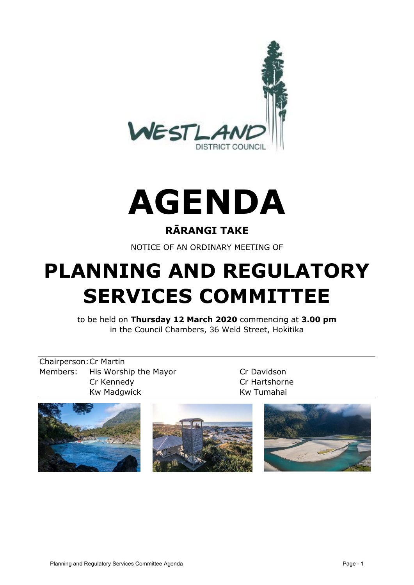



#### **RĀRANGI TAKE**

NOTICE OF AN ORDINARY MEETING OF

# **PLANNING AND REGULATORY SERVICES COMMITTEE**

to be held on **Thursday 12 March 2020** commencing at **3.00 pm** in the Council Chambers, 36 Weld Street, Hokitika

Chairperson:Cr Martin Members: His Worship the Mayor Cr Davidson Cr Kennedy Cr Hartshorne Kw Madgwick **Kw Tumahai** 





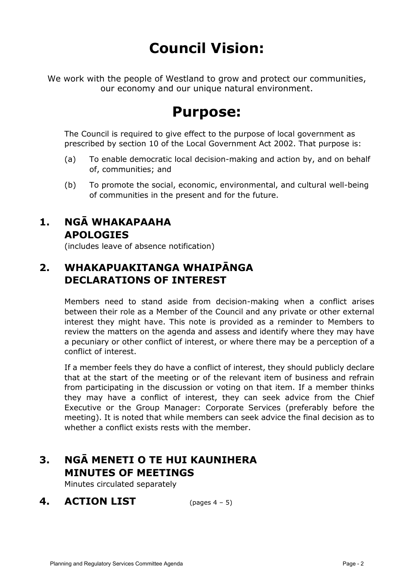# **Council Vision:**

We work with the people of Westland to grow and protect our communities, our economy and our unique natural environment.

# **Purpose:**

The Council is required to give effect to the purpose of local government as prescribed by section 10 of the Local Government Act 2002. That purpose is:

- (a) To enable democratic local decision-making and action by, and on behalf of, communities; and
- (b) To promote the social, economic, environmental, and cultural well-being of communities in the present and for the future.

#### **1. NGĀ WHAKAPAAHA APOLOGIES**

(includes leave of absence notification)

## **2. WHAKAPUAKITANGA WHAIPĀNGA DECLARATIONS OF INTEREST**

Members need to stand aside from decision-making when a conflict arises between their role as a Member of the Council and any private or other external interest they might have. This note is provided as a reminder to Members to review the matters on the agenda and assess and identify where they may have a pecuniary or other conflict of interest, or where there may be a perception of a conflict of interest.

If a member feels they do have a conflict of interest, they should publicly declare that at the start of the meeting or of the relevant item of business and refrain from participating in the discussion or voting on that item. If a member thinks they may have a conflict of interest, they can seek advice from the Chief Executive or the Group Manager: Corporate Services (preferably before the meeting). It is noted that while members can seek advice the final decision as to whether a conflict exists rests with the member.

## **3. NGĀ MENETI O TE HUI KAUNIHERA MINUTES OF MEETINGS**

Minutes circulated separately

**4. ACTION LIST** (pages 4 – 5)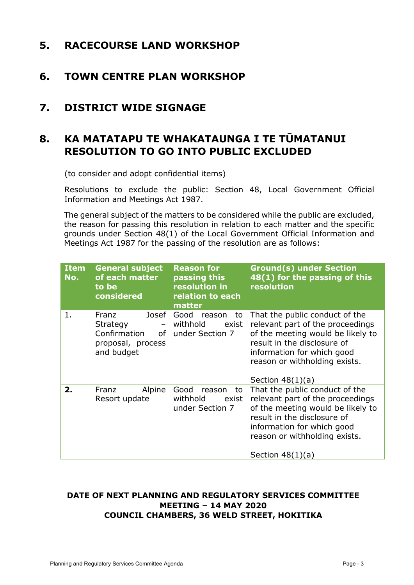#### **5. RACECOURSE LAND WORKSHOP**

#### **6. TOWN CENTRE PLAN WORKSHOP**

#### **7. DISTRICT WIDE SIGNAGE**

## **8. KA MATATAPU TE WHAKATAUNGA I TE TŪMATANUI RESOLUTION TO GO INTO PUBLIC EXCLUDED**

(to consider and adopt confidential items)

Resolutions to exclude the public: Section 48, Local Government Official Information and Meetings Act 1987.

The general subject of the matters to be considered while the public are excluded, the reason for passing this resolution in relation to each matter and the specific grounds under Section 48(1) of the Local Government Official Information and Meetings Act 1987 for the passing of the resolution are as follows:

| <b>Item</b><br>No. | <b>General subject</b><br>of each matter<br>to be<br>considered                        | <b>Reason for</b><br>passing this<br>resolution in<br>relation to each<br>matter | <b>Ground(s) under Section</b><br>48(1) for the passing of this<br>resolution                                                                                                                                               |
|--------------------|----------------------------------------------------------------------------------------|----------------------------------------------------------------------------------|-----------------------------------------------------------------------------------------------------------------------------------------------------------------------------------------------------------------------------|
| 1.                 | Josef<br>Franz<br>Strategy<br>$ \,$<br>Confirmation<br>proposal, process<br>and budget | Good reason<br>to<br>withhold<br>exist<br>of under Section 7                     | That the public conduct of the<br>relevant part of the proceedings<br>of the meeting would be likely to<br>result in the disclosure of<br>information for which good<br>reason or withholding exists.<br>Section $48(1)(a)$ |
| 2.                 | Alpine<br>Franz<br>Resort update                                                       | Good<br>reason<br>to<br>withhold<br>exist<br>under Section 7                     | That the public conduct of the<br>relevant part of the proceedings<br>of the meeting would be likely to<br>result in the disclosure of<br>information for which good<br>reason or withholding exists.<br>Section $48(1)(a)$ |

#### **DATE OF NEXT PLANNING AND REGULATORY SERVICES COMMITTEE MEETING – 14 MAY 2020 COUNCIL CHAMBERS, 36 WELD STREET, HOKITIKA**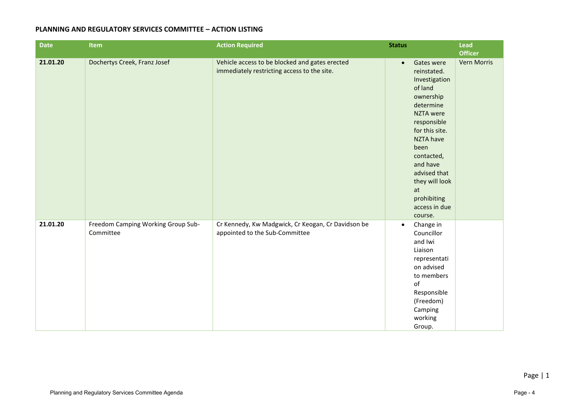#### **PLANNING AND REGULATORY SERVICES COMMITTEE – ACTION LISTING**

| <b>Date</b> | Item                                            | <b>Action Required</b>                                                                        | <b>Status</b>                                                                                                                                                            | <b>Lead</b>                          |
|-------------|-------------------------------------------------|-----------------------------------------------------------------------------------------------|--------------------------------------------------------------------------------------------------------------------------------------------------------------------------|--------------------------------------|
| 21.01.20    | Dochertys Creek, Franz Josef                    | Vehicle access to be blocked and gates erected<br>immediately restricting access to the site. | Gates were<br>$\bullet$<br>reinstated.<br>Investigation<br>of land<br>ownership<br>determine<br><b>NZTA</b> were                                                         | <b>Officer</b><br><b>Vern Morris</b> |
|             |                                                 |                                                                                               | responsible<br>for this site.<br><b>NZTA have</b><br>been<br>contacted,<br>and have<br>advised that<br>they will look<br>at<br>prohibiting<br>access in due<br>course.   |                                      |
| 21.01.20    | Freedom Camping Working Group Sub-<br>Committee | Cr Kennedy, Kw Madgwick, Cr Keogan, Cr Davidson be<br>appointed to the Sub-Committee          | Change in<br>$\bullet$<br>Councillor<br>and Iwi<br>Liaison<br>representati<br>on advised<br>to members<br>of<br>Responsible<br>(Freedom)<br>Camping<br>working<br>Group. |                                      |